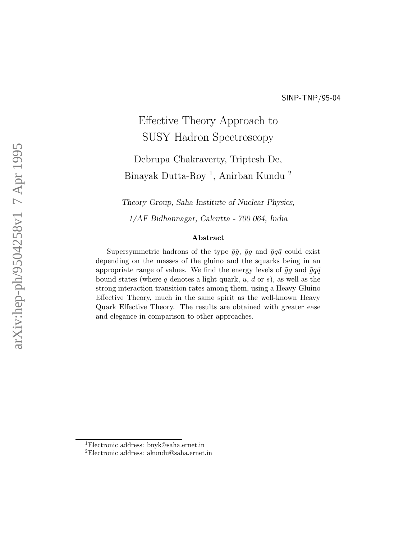# Effective Theory Approach to SUSY Hadron Spectroscopy

Debrupa Chakraverty, Triptesh De, Binayak Dutta-Roy <sup>1</sup>, Anirban Kundu <sup>2</sup>

Theory Group, Saha Institute of Nuclear Physics,

1/AF Bidhannagar, Calcutta - 700 064, India

#### Abstract

Supersymmetric hadrons of the type  $\tilde{g}\tilde{g}$ ,  $\tilde{g}g$  and  $\tilde{g}q\bar{q}$  could exist depending on the masses of the gluino and the squarks being in an appropriate range of values. We find the energy levels of  $\tilde{g}g$  and  $\tilde{g}q\bar{q}$ bound states (where  $q$  denotes a light quark,  $u, d$  or  $s$ ), as well as the strong interaction transition rates among them, using a Heavy Gluino Effective Theory, much in the same spirit as the well-known Heavy Quark Effective Theory. The results are obtained with greater ease and elegance in comparison to other approaches.

<sup>1</sup>Electronic address: bnyk@saha.ernet.in

<sup>2</sup>Electronic address: akundu@saha.ernet.in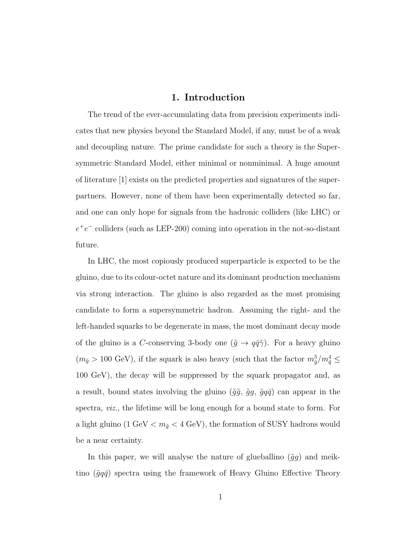#### 1. Introduction

The trend of the ever-accumulating data from precision experiments indicates that new physics beyond the Standard Model, if any, must be of a weak and decoupling nature. The prime candidate for such a theory is the Supersymmetric Standard Model, either minimal or nonminimal. A huge amount of literature [1] exists on the predicted properties and signatures of the superpartners. However, none of them have been experimentally detected so far, and one can only hope for signals from the hadronic colliders (like LHC) or  $e^+e^-$  colliders (such as LEP-200) coming into operation in the not-so-distant future.

In LHC, the most copiously produced superparticle is expected to be the gluino, due to its colour-octet nature and its dominant production mechanism via strong interaction. The gluino is also regarded as the most promising candidate to form a supersymmetric hadron. Assuming the right- and the left-handed squarks to be degenerate in mass, the most dominant decay mode of the gluino is a C-conserving 3-body one  $(\tilde{g} \to q\bar{q}\tilde{\gamma})$ . For a heavy gluino  $(m_{\tilde{g}} > 100 \text{ GeV})$ , if the squark is also heavy (such that the factor  $m_{\tilde{g}}^5/m_{\tilde{q}}^4 \leq$ 100 GeV), the decay will be suppressed by the squark propagator and, as a result, bound states involving the gluino  $(\tilde{g}\tilde{g}, \tilde{g}g, \tilde{g}q\bar{q})$  can appear in the spectra, viz., the lifetime will be long enough for a bound state to form. For a light gluino (1 GeV  $< m_{\tilde{g}} < 4$  GeV), the formation of SUSY hadrons would be a near certainty.

In this paper, we will analyse the nature of glueballino  $(\tilde{q}q)$  and meiktino  $(\tilde{g}q\bar{q})$  spectra using the framework of Heavy Gluino Effective Theory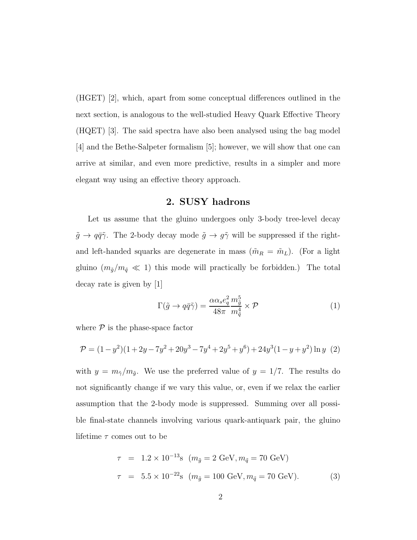(HGET) [2], which, apart from some conceptual differences outlined in the next section, is analogous to the well-studied Heavy Quark Effective Theory (HQET) [3]. The said spectra have also been analysed using the bag model [4] and the Bethe-Salpeter formalism [5]; however, we will show that one can arrive at similar, and even more predictive, results in a simpler and more elegant way using an effective theory approach.

#### 2. SUSY hadrons

Let us assume that the gluino undergoes only 3-body tree-level decay  $\tilde{g} \to q\bar{q}\tilde{\gamma}$ . The 2-body decay mode  $\tilde{g} \to g\tilde{\gamma}$  will be suppressed if the rightand left-handed squarks are degenerate in mass  $(\tilde{m}_R = \tilde{m}_L)$ . (For a light gluino  $(m_{\tilde{g}}/m_{\tilde{q}} \ll 1)$  this mode will practically be forbidden.) The total decay rate is given by [1]

$$
\Gamma(\tilde{g} \to q\bar{q}\tilde{\gamma}) = \frac{\alpha\alpha_s e_q^2}{48\pi} \frac{m_{\tilde{g}}^5}{m_{\tilde{q}}^4} \times \mathcal{P}
$$
\n(1)

where  $P$  is the phase-space factor

$$
\mathcal{P} = (1 - y^2)(1 + 2y - 7y^2 + 20y^3 - 7y^4 + 2y^5 + y^6) + 24y^3(1 - y + y^2)\ln y
$$
 (2)

with  $y = m_{\tilde{\gamma}}/m_{\tilde{g}}$ . We use the preferred value of  $y = 1/7$ . The results do not significantly change if we vary this value, or, even if we relax the earlier assumption that the 2-body mode is suppressed. Summing over all possible final-state channels involving various quark-antiquark pair, the gluino lifetime  $\tau$  comes out to be

$$
\tau = 1.2 \times 10^{-13} \text{s} \quad (m_{\tilde{g}} = 2 \text{ GeV}, m_{\tilde{q}} = 70 \text{ GeV})
$$
\n
$$
\tau = 5.5 \times 10^{-22} \text{s} \quad (m_{\tilde{g}} = 100 \text{ GeV}, m_{\tilde{q}} = 70 \text{ GeV}). \tag{3}
$$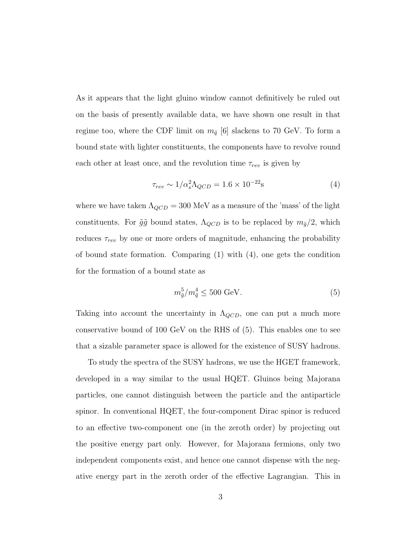As it appears that the light gluino window cannot definitively be ruled out on the basis of presently available data, we have shown one result in that regime too, where the CDF limit on  $m_{\tilde{q}}$  [6] slackens to 70 GeV. To form a bound state with lighter constituents, the components have to revolve round each other at least once, and the revolution time  $\tau_{rev}$  is given by

$$
\tau_{rev} \sim 1/\alpha_s^2 \Lambda_{QCD} = 1.6 \times 10^{-22} \text{s} \tag{4}
$$

where we have taken  $\Lambda_{QCD} = 300 \text{ MeV}$  as a measure of the 'mass' of the light constituents. For  $\tilde{g}\tilde{g}$  bound states,  $\Lambda_{QCD}$  is to be replaced by  $m_{\tilde{g}}/2$ , which reduces  $\tau_{rev}$  by one or more orders of magnitude, enhancing the probability of bound state formation. Comparing (1) with (4), one gets the condition for the formation of a bound state as

$$
m_{\tilde{g}}^5/m_{\tilde{q}}^4 \le 500 \text{ GeV}.\tag{5}
$$

Taking into account the uncertainty in  $\Lambda_{QCD}$ , one can put a much more conservative bound of 100 GeV on the RHS of (5). This enables one to see that a sizable parameter space is allowed for the existence of SUSY hadrons.

To study the spectra of the SUSY hadrons, we use the HGET framework, developed in a way similar to the usual HQET. Gluinos being Majorana particles, one cannot distinguish between the particle and the antiparticle spinor. In conventional HQET, the four-component Dirac spinor is reduced to an effective two-component one (in the zeroth order) by projecting out the positive energy part only. However, for Majorana fermions, only two independent components exist, and hence one cannot dispense with the negative energy part in the zeroth order of the effective Lagrangian. This in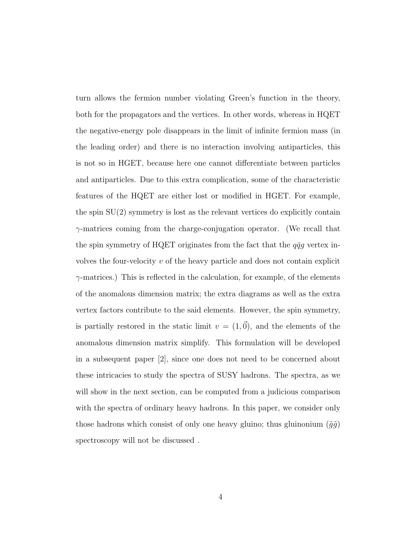turn allows the fermion number violating Green's function in the theory, both for the propagators and the vertices. In other words, whereas in HQET the negative-energy pole disappears in the limit of infinite fermion mass (in the leading order) and there is no interaction involving antiparticles, this is not so in HGET, because here one cannot differentiate between particles and antiparticles. Due to this extra complication, some of the characteristic features of the HQET are either lost or modified in HGET. For example, the spin SU(2) symmetry is lost as the relevant vertices do explicitly contain  $\gamma$ -matrices coming from the charge-conjugation operator. (We recall that the spin symmetry of HQET originates from the fact that the  $q\bar{q}g$  vertex involves the four-velocity  $v$  of the heavy particle and does not contain explicit  $\gamma$ -matrices.) This is reflected in the calculation, for example, of the elements of the anomalous dimension matrix; the extra diagrams as well as the extra vertex factors contribute to the said elements. However, the spin symmetry, is partially restored in the static limit  $v = (1, \vec{0})$ , and the elements of the anomalous dimension matrix simplify. This formulation will be developed in a subsequent paper [2], since one does not need to be concerned about these intricacies to study the spectra of SUSY hadrons. The spectra, as we will show in the next section, can be computed from a judicious comparison with the spectra of ordinary heavy hadrons. In this paper, we consider only those hadrons which consist of only one heavy gluino; thus gluinonium  $(\tilde{q}\tilde{q})$ spectroscopy will not be discussed .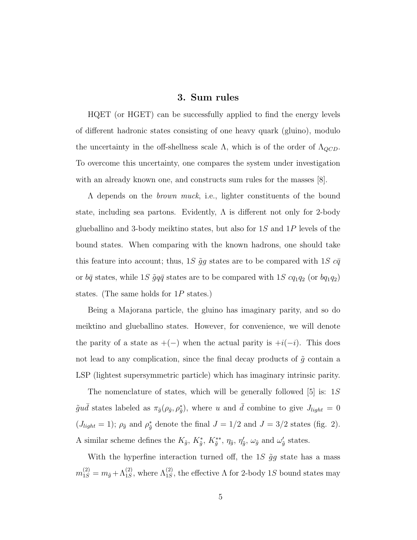#### 3. Sum rules

HQET (or HGET) can be successfully applied to find the energy levels of different hadronic states consisting of one heavy quark (gluino), modulo the uncertainty in the off-shellness scale  $\Lambda$ , which is of the order of  $\Lambda_{QCD}$ . To overcome this uncertainty, one compares the system under investigation with an already known one, and constructs sum rules for the masses [8].

Λ depends on the brown muck, i.e., lighter constituents of the bound state, including sea partons. Evidently,  $\Lambda$  is different not only for 2-body glueballino and 3-body meiktino states, but also for 1S and 1P levels of the bound states. When comparing with the known hadrons, one should take this feature into account; thus, 1S  $\tilde{g}g$  states are to be compared with 1S  $c\bar{q}$ or  $b\bar{q}$  states, while 1S  $\tilde{g}q\bar{q}$  states are to be compared with 1S cq<sub>1</sub>q<sub>2</sub> (or  $bq_1q_2$ ) states. (The same holds for 1P states.)

Being a Majorana particle, the gluino has imaginary parity, and so do meiktino and glueballino states. However, for convenience, we will denote the parity of a state as  $+(-)$  when the actual parity is  $+i(-i)$ . This does not lead to any complication, since the final decay products of  $\tilde{g}$  contain a LSP (lightest supersymmetric particle) which has imaginary intrinsic parity.

The nomenclature of states, which will be generally followed  $|5|$  is: 1S  $\tilde{g}u\bar{d}$  states labeled as  $\pi_{\tilde{g}}(\rho_{\tilde{g}}, \rho_{\tilde{g}}^*)$ , where u and  $\bar{d}$  combine to give  $J_{light} = 0$  $(J_{light} = 1)$ ;  $\rho_{\tilde{g}}$  and  $\rho_{\tilde{g}}^*$  denote the final  $J = 1/2$  and  $J = 3/2$  states (fig. 2). A similar scheme defines the  $K_{\tilde{g}}, K_{\tilde{g}}^*, K_{\tilde{g}}^{**}, \eta_{\tilde{g}}, \eta_{\tilde{g}}^{\prime}$  $\zeta_{\tilde{g}}$ ,  $\omega_{\tilde{g}}$  and  $\omega'_{\tilde{g}}$  $'_{\tilde{g}}$  states.

With the hyperfine interaction turned off, the 1S  $\tilde{g}g$  state has a mass  $m_{1S}^{(2)} = m_{\tilde{g}} + \Lambda_{1S}^{(2)}$ , where  $\Lambda_{1S}^{(2)}$ , the effective  $\Lambda$  for 2-body 1S bound states may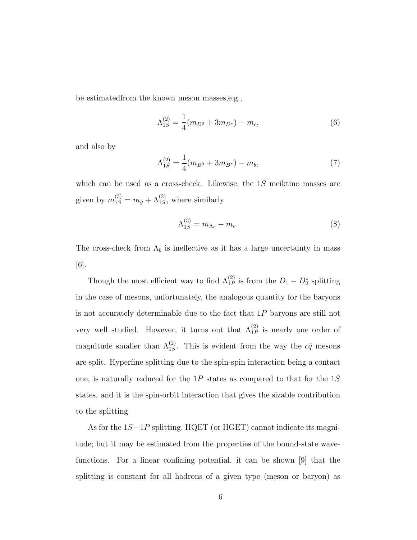be estimatedfrom the known meson masses,e.g.,

$$
\Lambda_{1S}^{(2)} = \frac{1}{4}(m_{D^0} + 3m_{D^*}) - m_c,\tag{6}
$$

and also by

$$
\Lambda_{1S}^{(2)} = \frac{1}{4}(m_{B^0} + 3m_{B^*}) - m_b,\tag{7}
$$

which can be used as a cross-check. Likewise, the 1S meiktino masses are given by  $m_{1S}^{(3)} = m_{\tilde{g}} + \Lambda_{1S}^{(3)}$ , where similarly

$$
\Lambda_{1S}^{(3)} = m_{\Lambda_c} - m_c. \tag{8}
$$

The cross-check from  $\Lambda_b$  is ineffective as it has a large uncertainty in mass [6].

Though the most efficient way to find  $\Lambda_{1P}^{(2)}$  is from the  $D_1 - D_2^*$  splitting in the case of mesons, unfortunately, the analogous quantity for the baryons is not accurately determinable due to the fact that 1P baryons are still not very well studied. However, it turns out that  $\Lambda_{1P}^{(2)}$  is nearly one order of magnitude smaller than  $\Lambda_{1S}^{(2)}$ . This is evident from the way the  $c\bar{q}$  mesons are split. Hyperfine splitting due to the spin-spin interaction being a contact one, is naturally reduced for the  $1P$  states as compared to that for the  $1S$ states, and it is the spin-orbit interaction that gives the sizable contribution to the splitting.

As for the 1S−1P splitting, HQET (or HGET) cannot indicate its magnitude; but it may be estimated from the properties of the bound-state wavefunctions. For a linear confining potential, it can be shown [9] that the splitting is constant for all hadrons of a given type (meson or baryon) as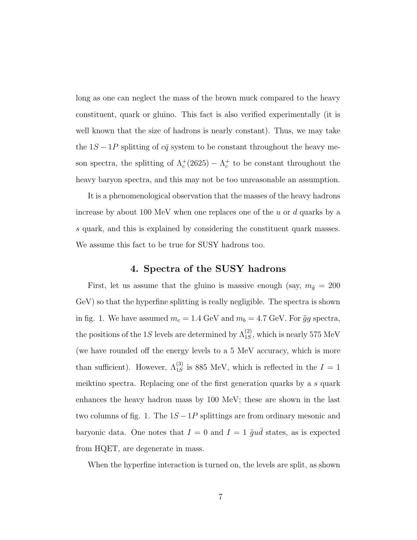long as one can neglect the mass of the brown muck compared to the heavy constituent, quark or gluino. This fact is also verified experimentally (it is well known that the size of hadrons is nearly constant). Thus, we may take the  $1S - 1P$  splitting of  $c\bar{q}$  system to be constant throughout the heavy meson spectra, the splitting of  $\Lambda_c^+(2625) - \Lambda_c^+$  to be constant throughout the heavy baryon spectra, and this may not be too unreasonable an assumption.

It is a phenomenological observation that the masses of the heavy hadrons increase by about 100 MeV when one replaces one of the u or d quarks by a s quark, and this is explained by considering the constituent quark masses. We assume this fact to be true for SUSY hadrons too.

#### 4. Spectra of the SUSY hadrons

First, let us assume that the gluino is massive enough (say,  $m_{\tilde{g}} = 200$ GeV) so that the hyperfine splitting is really negligible. The spectra is shown in fig. 1. We have assumed  $m_c = 1.4$  GeV and  $m_b = 4.7$  GeV. For  $\tilde{g}g$  spectra, the positions of the 1S levels are determined by  $\Lambda_{1S}^{(2)}$ , which is nearly 575 MeV (we have rounded off the energy levels to a 5 MeV accuracy, which is more than sufficient). However,  $\Lambda_{1S}^{(3)}$  is 885 MeV, which is reflected in the  $I = 1$ meiktino spectra. Replacing one of the first generation quarks by a s quark enhances the heavy hadron mass by 100 MeV; these are shown in the last two columns of fig. 1. The  $1S - 1P$  splittings are from ordinary mesonic and baryonic data. One notes that  $I = 0$  and  $I = 1$   $\tilde{g}u\bar{d}$  states, as is expected from HQET, are degenerate in mass.

When the hyperfine interaction is turned on, the levels are split, as shown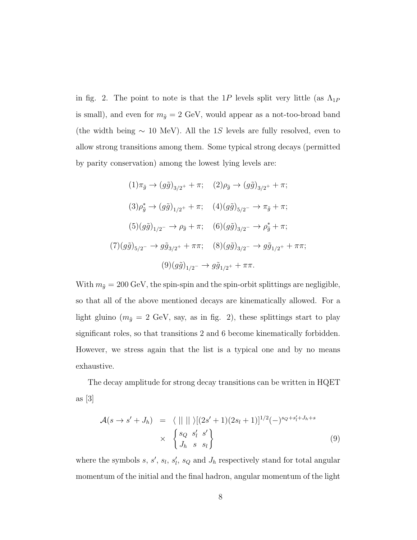in fig. 2. The point to note is that the 1P levels split very little (as  $\Lambda_{1P}$ ) is small), and even for  $m_{\tilde{g}}$  = 2 GeV, would appear as a not-too-broad band (the width being  $\sim 10$  MeV). All the 1S levels are fully resolved, even to allow strong transitions among them. Some typical strong decays (permitted by parity conservation) among the lowest lying levels are:

$$
(1)\pi_{\tilde{g}} \to (g\tilde{g})_{3/2^{+}} + \pi; \quad (2)\rho_{\tilde{g}} \to (g\tilde{g})_{3/2^{+}} + \pi;
$$
  
\n
$$
(3)\rho_{\tilde{g}}^{*} \to (g\tilde{g})_{1/2^{+}} + \pi; \quad (4)(g\tilde{g})_{5/2^{-}} \to \pi_{\tilde{g}} + \pi;
$$
  
\n
$$
(5)(g\tilde{g})_{1/2^{-}} \to \rho_{\tilde{g}} + \pi; \quad (6)(g\tilde{g})_{3/2^{-}} \to \rho_{\tilde{g}}^{*} + \pi;
$$
  
\n
$$
(7)(g\tilde{g})_{5/2^{-}} \to g\tilde{g}_{3/2^{+}} + \pi \pi; \quad (8)(g\tilde{g})_{3/2^{-}} \to g\tilde{g}_{1/2^{+}} + \pi \pi;
$$
  
\n
$$
(9)(g\tilde{g})_{1/2^{-}} \to g\tilde{g}_{1/2^{+}} + \pi \pi.
$$

With  $m_{\tilde{g}} = 200 \text{ GeV}$ , the spin-spin and the spin-orbit splittings are negligible, so that all of the above mentioned decays are kinematically allowed. For a light gluino ( $m_{\tilde{g}} = 2$  GeV, say, as in fig. 2), these splittings start to play significant roles, so that transitions 2 and 6 become kinematically forbidden. However, we stress again that the list is a typical one and by no means exhaustive.

The decay amplitude for strong decay transitions can be written in HQET as  $|3|$ 

$$
\mathcal{A}(s \to s' + J_h) = \langle || || || \rangle [(2s' + 1)(2s_l + 1)]^{1/2} (-)^{s_Q + s'_l + J_h + s} \times \begin{cases} s_Q & s'_l & s' \\ J_h & s & s_l \end{cases}
$$
(9)

where the symbols  $s, s', s_l, s_l'$  $l<sub>l</sub>$ ,  $s<sub>Q</sub>$  and  $J<sub>h</sub>$  respectively stand for total angular momentum of the initial and the final hadron, angular momentum of the light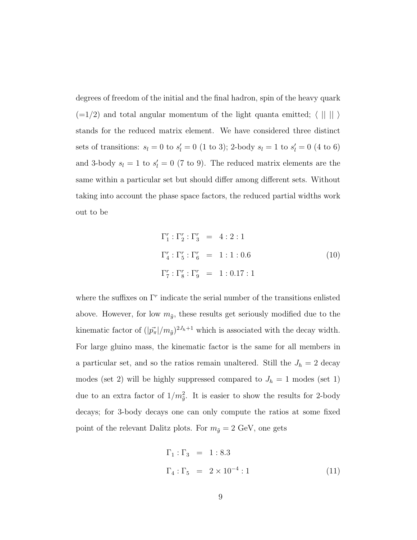degrees of freedom of the initial and the final hadron, spin of the heavy quark  $(=1/2)$  and total angular momentum of the light quanta emitted;  $\langle || || ||$ stands for the reduced matrix element. We have considered three distinct sets of transitions:  $s_l = 0$  to  $s'_l = 0$  (1 to 3); 2-body  $s_l = 1$  to  $s'_l = 0$  (4 to 6) and 3-body  $s_l = 1$  to  $s'_l = 0$  (7 to 9). The reduced matrix elements are the same within a particular set but should differ among different sets. Without taking into account the phase space factors, the reduced partial widths work out to be

$$
\Gamma_1^r : \Gamma_2^r : \Gamma_3^r = 4 : 2 : 1
$$
  
\n
$$
\Gamma_4^r : \Gamma_5^r : \Gamma_6^r = 1 : 1 : 0.6
$$
  
\n
$$
\Gamma_7^r : \Gamma_8^r : \Gamma_9^r = 1 : 0.17 : 1
$$
  
\n(10)

where the suffixes on  $\Gamma^r$  indicate the serial number of the transitions enlisted above. However, for low  $m_{\tilde{g}}$ , these results get seriously modified due to the kinematic factor of  $(|\vec{p}_{\pi}|/m_{\tilde{g}})^{2J_h+1}$  which is associated with the decay width. For large gluino mass, the kinematic factor is the same for all members in a particular set, and so the ratios remain unaltered. Still the  $J_h = 2$  decay modes (set 2) will be highly suppressed compared to  $J_h = 1$  modes (set 1) due to an extra factor of  $1/m_{\tilde{g}}^2$ . It is easier to show the results for 2-body decays; for 3-body decays one can only compute the ratios at some fixed point of the relevant Dalitz plots. For  $m_{\tilde{g}} = 2 \text{ GeV}$ , one gets

$$
\Gamma_1 : \Gamma_3 = 1 : 8.3
$$
  
\n
$$
\Gamma_4 : \Gamma_5 = 2 \times 10^{-4} : 1
$$
\n(11)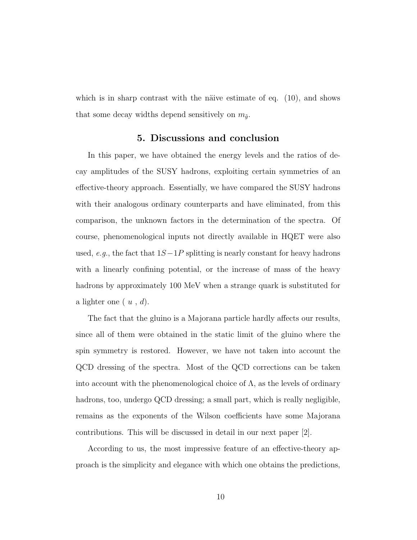which is in sharp contrast with the näive estimate of eq.  $(10)$ , and shows that some decay widths depend sensitively on  $m_{\tilde{q}}$ .

#### 5. Discussions and conclusion

In this paper, we have obtained the energy levels and the ratios of decay amplitudes of the SUSY hadrons, exploiting certain symmetries of an effective-theory approach. Essentially, we have compared the SUSY hadrons with their analogous ordinary counterparts and have eliminated, from this comparison, the unknown factors in the determination of the spectra. Of course, phenomenological inputs not directly available in HQET were also used, e.g., the fact that  $1S-1P$  splitting is nearly constant for heavy hadrons with a linearly confining potential, or the increase of mass of the heavy hadrons by approximately 100 MeV when a strange quark is substituted for a lighter one  $(u, d)$ .

The fact that the gluino is a Majorana particle hardly affects our results, since all of them were obtained in the static limit of the gluino where the spin symmetry is restored. However, we have not taken into account the QCD dressing of the spectra. Most of the QCD corrections can be taken into account with the phenomenological choice of  $\Lambda$ , as the levels of ordinary hadrons, too, undergo QCD dressing; a small part, which is really negligible, remains as the exponents of the Wilson coefficients have some Majorana contributions. This will be discussed in detail in our next paper [2].

According to us, the most impressive feature of an effective-theory approach is the simplicity and elegance with which one obtains the predictions,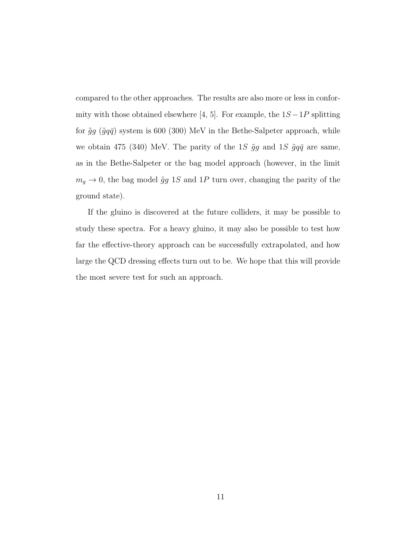compared to the other approaches. The results are also more or less in conformity with those obtained elsewhere [4, 5]. For example, the  $1S - 1P$  splitting for  $\tilde{g}g(\tilde{g}q\bar{q})$  system is 600 (300) MeV in the Bethe-Salpeter approach, while we obtain 475 (340) MeV. The parity of the 1S  $\tilde{g}g$  and 1S  $\tilde{g}q\bar{q}$  are same, as in the Bethe-Salpeter or the bag model approach (however, in the limit  $m_g \rightarrow 0$ , the bag model  $\tilde{g}g$  1S and 1P turn over, changing the parity of the ground state).

If the gluino is discovered at the future colliders, it may be possible to study these spectra. For a heavy gluino, it may also be possible to test how far the effective-theory approach can be successfully extrapolated, and how large the QCD dressing effects turn out to be. We hope that this will provide the most severe test for such an approach.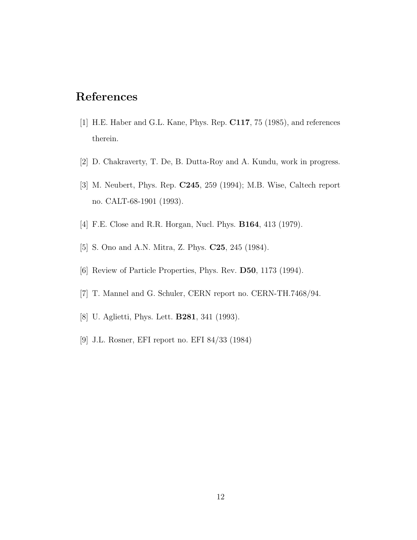## References

- [1] H.E. Haber and G.L. Kane, Phys. Rep. C117, 75 (1985), and references therein.
- [2] D. Chakraverty, T. De, B. Dutta-Roy and A. Kundu, work in progress.
- [3] M. Neubert, Phys. Rep. C245, 259 (1994); M.B. Wise, Caltech report no. CALT-68-1901 (1993).
- [4] F.E. Close and R.R. Horgan, Nucl. Phys. B164, 413 (1979).
- [5] S. Ono and A.N. Mitra, Z. Phys. C25, 245 (1984).
- [6] Review of Particle Properties, Phys. Rev. **D50**, 1173 (1994).
- [7] T. Mannel and G. Schuler, CERN report no. CERN-TH.7468/94.
- [8] U. Aglietti, Phys. Lett. **B281**, 341 (1993).
- [9] J.L. Rosner, EFI report no. EFI 84/33 (1984)